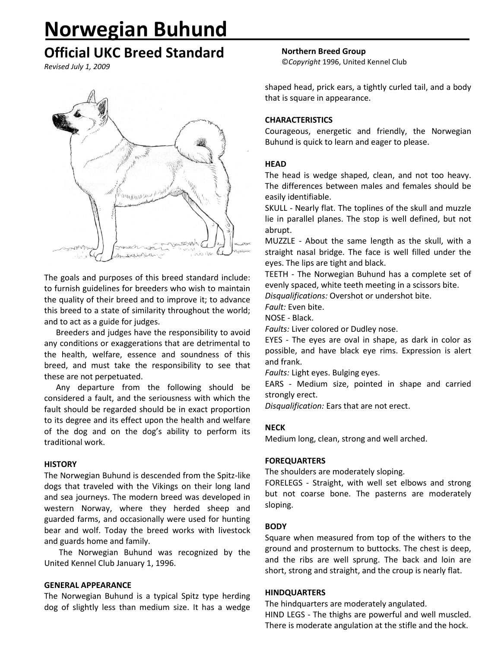# **Norwegian Buhund**

# **Official UKC Breed Standard**

*Revised July 1, 2009*



The goals and purposes of this breed standard include: to furnish guidelines for breeders who wish to maintain the quality of their breed and to improve it; to advance this breed to a state of similarity throughout the world; and to act as a guide for judges.

Breeders and judges have the responsibility to avoid any conditions or exaggerations that are detrimental to the health, welfare, essence and soundness of this breed, and must take the responsibility to see that these are not perpetuated.

Any departure from the following should be considered a fault, and the seriousness with which the fault should be regarded should be in exact proportion to its degree and its effect upon the health and welfare of the dog and on the dog's ability to perform its traditional work.

#### **HISTORY**

The Norwegian Buhund is descended from the Spitz-like dogs that traveled with the Vikings on their long land and sea journeys. The modern breed was developed in western Norway, where they herded sheep and guarded farms, and occasionally were used for hunting bear and wolf. Today the breed works with livestock and guards home and family.

The Norwegian Buhund was recognized by the United Kennel Club January 1, 1996.

#### **GENERAL APPEARANCE**

The Norwegian Buhund is a typical Spitz type herding dog of slightly less than medium size. It has a wedge **Northern Breed Group**

©*Copyright* 1996, United Kennel Club

shaped head, prick ears, a tightly curled tail, and a body that is square in appearance.

# **CHARACTERISTICS**

Courageous, energetic and friendly, the Norwegian Buhund is quick to learn and eager to please.

# **HEAD**

The head is wedge shaped, clean, and not too heavy. The differences between males and females should be easily identifiable.

SKULL - Nearly flat. The toplines of the skull and muzzle lie in parallel planes. The stop is well defined, but not abrupt.

MUZZLE - About the same length as the skull, with a straight nasal bridge. The face is well filled under the eyes. The lips are tight and black.

TEETH - The Norwegian Buhund has a complete set of evenly spaced, white teeth meeting in a scissors bite.

*Disqualifications:* Overshot or undershot bite.

*Fault:* Even bite.

NOSE - Black.

*Faults:* Liver colored or Dudley nose.

EYES - The eyes are oval in shape, as dark in color as possible, and have black eye rims. Expression is alert and frank.

*Faults:* Light eyes. Bulging eyes.

EARS - Medium size, pointed in shape and carried strongly erect.

*Disqualification:* Ears that are not erect.

# **NECK**

Medium long, clean, strong and well arched.

# **FOREQUARTERS**

The shoulders are moderately sloping.

FORELEGS - Straight, with well set elbows and strong but not coarse bone. The pasterns are moderately sloping.

# **BODY**

Square when measured from top of the withers to the ground and prosternum to buttocks. The chest is deep, and the ribs are well sprung. The back and loin are short, strong and straight, and the croup is nearly flat.

#### **HINDQUARTERS**

The hindquarters are moderately angulated. HIND LEGS - The thighs are powerful and well muscled. There is moderate angulation at the stifle and the hock.